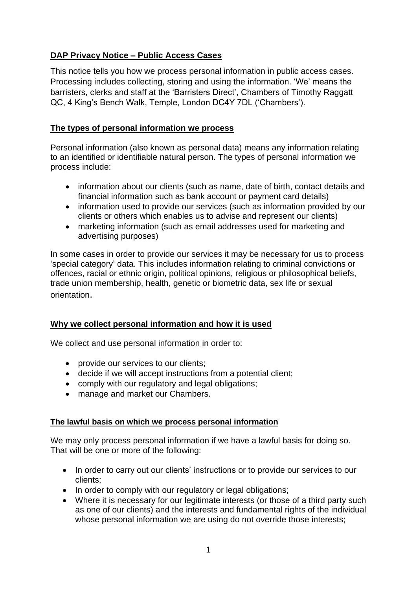# **DAP Privacy Notice – Public Access Cases**

This notice tells you how we process personal information in public access cases. Processing includes collecting, storing and using the information. 'We' means the barristers, clerks and staff at the 'Barristers Direct', Chambers of Timothy Raggatt QC, 4 King's Bench Walk, Temple, London DC4Y 7DL ('Chambers').

### **The types of personal information we process**

Personal information (also known as personal data) means any information relating to an identified or identifiable natural person. The types of personal information we process include:

- information about our clients (such as name, date of birth, contact details and financial information such as bank account or payment card details)
- information used to provide our services (such as information provided by our clients or others which enables us to advise and represent our clients)
- marketing information (such as email addresses used for marketing and advertising purposes)

In some cases in order to provide our services it may be necessary for us to process 'special category' data. This includes information relating to criminal convictions or offences, racial or ethnic origin, political opinions, religious or philosophical beliefs, trade union membership, health, genetic or biometric data, sex life or sexual orientation.

## **Why we collect personal information and how it is used**

We collect and use personal information in order to:

- provide our services to our clients;
- decide if we will accept instructions from a potential client;
- comply with our regulatory and legal obligations;
- manage and market our Chambers.

#### **The lawful basis on which we process personal information**

We may only process personal information if we have a lawful basis for doing so. That will be one or more of the following:

- In order to carry out our clients' instructions or to provide our services to our clients;
- In order to comply with our regulatory or legal obligations;
- Where it is necessary for our legitimate interests (or those of a third party such as one of our clients) and the interests and fundamental rights of the individual whose personal information we are using do not override those interests;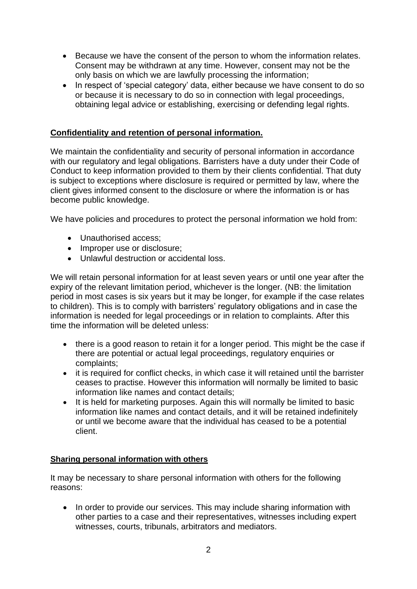- Because we have the consent of the person to whom the information relates. Consent may be withdrawn at any time. However, consent may not be the only basis on which we are lawfully processing the information;
- In respect of 'special category' data, either because we have consent to do so or because it is necessary to do so in connection with legal proceedings, obtaining legal advice or establishing, exercising or defending legal rights.

### **Confidentiality and retention of personal information.**

We maintain the confidentiality and security of personal information in accordance with our regulatory and legal obligations. Barristers have a duty under their Code of Conduct to keep information provided to them by their clients confidential. That duty is subject to exceptions where disclosure is required or permitted by law, where the client gives informed consent to the disclosure or where the information is or has become public knowledge.

We have policies and procedures to protect the personal information we hold from:

- Unauthorised access:
- Improper use or disclosure;
- Unlawful destruction or accidental loss.

We will retain personal information for at least seven years or until one year after the expiry of the relevant limitation period, whichever is the longer. (NB: the limitation period in most cases is six years but it may be longer, for example if the case relates to children). This is to comply with barristers' regulatory obligations and in case the information is needed for legal proceedings or in relation to complaints. After this time the information will be deleted unless:

- there is a good reason to retain it for a longer period. This might be the case if there are potential or actual legal proceedings, regulatory enquiries or complaints;
- it is required for conflict checks, in which case it will retained until the barrister ceases to practise. However this information will normally be limited to basic information like names and contact details;
- It is held for marketing purposes. Again this will normally be limited to basic information like names and contact details, and it will be retained indefinitely or until we become aware that the individual has ceased to be a potential client.

#### **Sharing personal information with others**

It may be necessary to share personal information with others for the following reasons:

• In order to provide our services. This may include sharing information with other parties to a case and their representatives, witnesses including expert witnesses, courts, tribunals, arbitrators and mediators.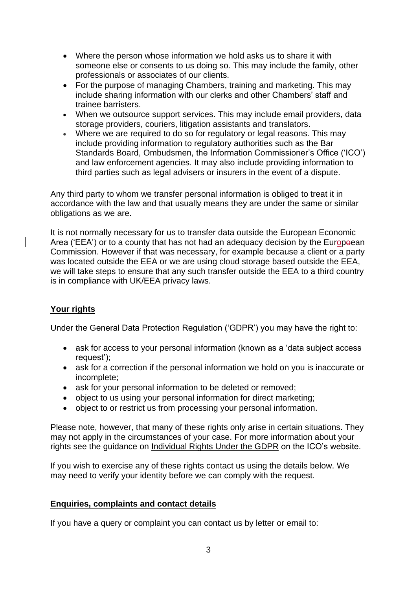- Where the person whose information we hold asks us to share it with someone else or consents to us doing so. This may include the family, other professionals or associates of our clients.
- For the purpose of managing Chambers, training and marketing. This may include sharing information with our clerks and other Chambers' staff and trainee barristers.
- When we outsource support services. This may include email providers, data storage providers, couriers, litigation assistants and translators.
- Where we are required to do so for regulatory or legal reasons. This may include providing information to regulatory authorities such as the Bar Standards Board, Ombudsmen, the Information Commissioner's Office ('ICO') and law enforcement agencies. It may also include providing information to third parties such as legal advisers or insurers in the event of a dispute.

Any third party to whom we transfer personal information is obliged to treat it in accordance with the law and that usually means they are under the same or similar obligations as we are.

It is not normally necessary for us to transfer data outside the European Economic Area ('EEA') or to a county that has not had an adequacy decision by the Europeean Commission. However if that was necessary, for example because a client or a party was located outside the EEA or we are using cloud storage based outside the EEA, we will take steps to ensure that any such transfer outside the EEA to a third country is in compliance with UK/EEA privacy laws.

# **Your rights**

Under the General Data Protection Regulation ('GDPR') you may have the right to:

- ask for access to your personal information (known as a 'data subject access request');
- ask for a correction if the personal information we hold on you is inaccurate or incomplete;
- ask for your personal information to be deleted or removed:
- object to us using your personal information for direct marketing;
- object to or restrict us from processing your personal information.

Please note, however, that many of these rights only arise in certain situations. They may not apply in the circumstances of your case. For more information about your rights see the guidance on Individual Rights Under the GDPR on the ICO's website.

If you wish to exercise any of these rights contact us using the details below. We may need to verify your identity before we can comply with the request.

## **Enquiries, complaints and contact details**

If you have a query or complaint you can contact us by letter or email to: